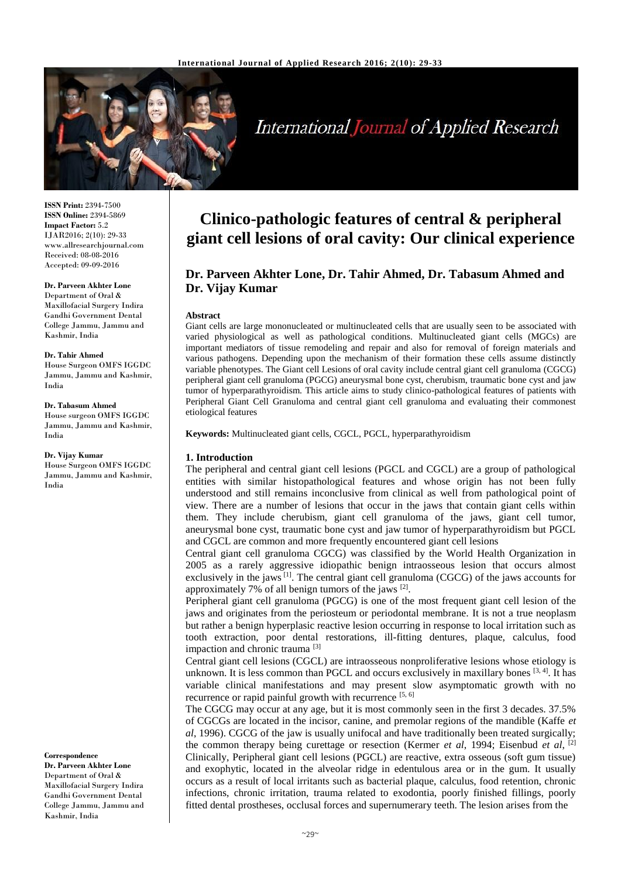

# **International Journal of Applied Research**

**ISSN Print:** 2394-7500 **ISSN Online:** 2394-5869 **Impact Factor:** 5.2 IJAR2016; 2(10): 29-33 www.allresearchjournal.com Received: 08-08-2016 Accepted: 09-09-2016

#### **Dr. Parveen Akhter Lone**

Department of Oral & Maxillofacial Surgery Indira Gandhi Government Dental College Jammu, Jammu and Kashmir, India

#### **Dr. Tahir Ahmed**

House Surgeon OMFS IGGDC Jammu, Jammu and Kashmir, India

#### **Dr. Tabasum Ahmed**

House surgeon OMFS IGGDC Jammu, Jammu and Kashmir, India

#### **Dr. Vijay Kumar**

House Surgeon OMFS IGGDC Jammu, Jammu and Kashmir, India

**Correspondence Dr. Parveen Akhter Lone** Department of Oral & Maxillofacial Surgery Indira Gandhi Government Dental College Jammu, Jammu and Kashmir, India

## **Clinico-pathologic features of central & peripheral giant cell lesions of oral cavity: Our clinical experience**

### **Dr. Parveen Akhter Lone, Dr. Tahir Ahmed, Dr. Tabasum Ahmed and Dr. Vijay Kumar**

#### **Abstract**

Giant cells are large mononucleated or multinucleated cells that are usually seen to be associated with varied physiological as well as pathological conditions. Multinucleated giant cells (MGCs) are important mediators of tissue remodeling and repair and also for removal of foreign materials and various pathogens. Depending upon the mechanism of their formation these cells assume distinctly variable phenotypes. The Giant cell Lesions of oral cavity include central giant cell granuloma (CGCG) peripheral giant cell granuloma (PGCG) aneurysmal bone cyst, cherubism, traumatic bone cyst and jaw tumor of hyperparathyroidism. This article aims to study clinico-pathological features of patients with Peripheral Giant Cell Granuloma and central giant cell granuloma and evaluating their commonest etiological features

**Keywords:** Multinucleated giant cells, CGCL, PGCL, hyperparathyroidism

#### **1. Introduction**

The peripheral and central giant cell lesions (PGCL and CGCL) are a group of pathological entities with similar histopathological features and whose origin has not been fully understood and still remains inconclusive from clinical as well from pathological point of view. There are a number of lesions that occur in the jaws that contain giant cells within them. They include cherubism, giant cell granuloma of the jaws, giant cell tumor, aneurysmal bone cyst, traumatic bone cyst and jaw tumor of hyperparathyroidism but PGCL and CGCL are common and more frequently encountered giant cell lesions

Central giant cell granuloma CGCG) was classified by the World Health Organization in 2005 as a rarely aggressive idiopathic benign intraosseous lesion that occurs almost exclusively in the jaws  $^{[1]}$ . The central giant cell granuloma (CGCG) of the jaws accounts for approximately 7% of all benign tumors of the jaws [2].

Peripheral giant cell granuloma (PGCG) is one of the most frequent giant cell lesion of the jaws and originates from the periosteum or periodontal membrane. It is not a true neoplasm but rather a benign hyperplasic reactive lesion occurring in response to local irritation such as tooth extraction, poor dental restorations, ill-fitting dentures, plaque, calculus, food impaction and chronic trauma [3]

Central giant cell lesions (CGCL) are intraosseous nonproliferative lesions whose etiology is unknown. It is less common than PGCL and occurs exclusively in maxillary bones  $[3, 4]$ . It has variable clinical manifestations and may present slow asymptomatic growth with no recurrence or rapid painful growth with recurrence [5, 6]

The CGCG may occur at any age, but it is most commonly seen in the first 3 decades. 37.5% of CGCGs are located in the incisor, canine, and premolar regions of the mandible (Kaffe *et al*, 1996). CGCG of the jaw is usually unifocal and have traditionally been treated surgically; the common therapy being curettage or resection (Kermer *et al*, 1994; Eisenbud *et al*, [2] Clinically, Peripheral giant cell lesions (PGCL) are reactive, extra osseous (soft gum tissue) and exophytic, located in the alveolar ridge in edentulous area or in the gum. It usually occurs as a result of local irritants such as bacterial plaque, calculus, food retention, chronic infections, chronic irritation, trauma related to exodontia, poorly finished fillings, poorly fitted dental prostheses, occlusal forces and supernumerary teeth. The lesion arises from the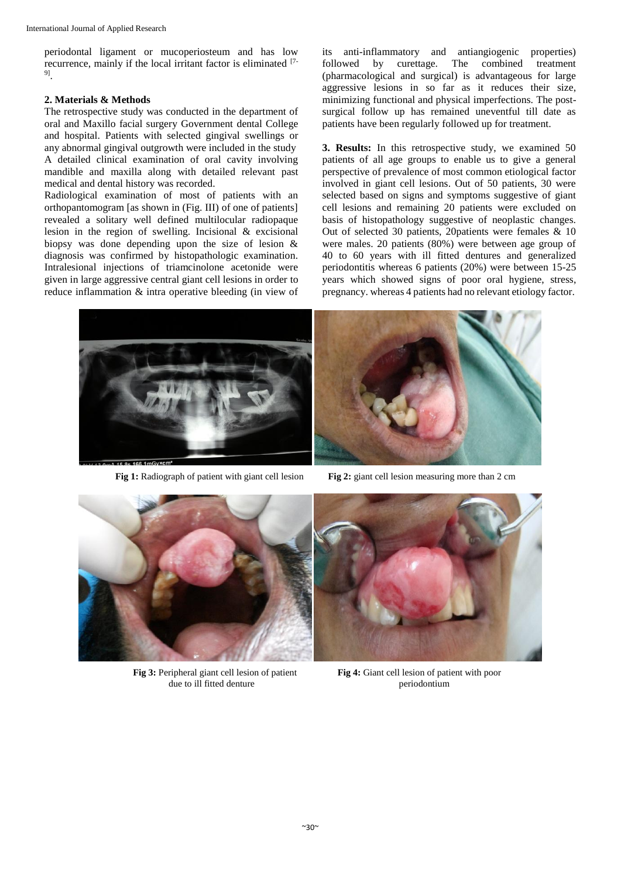periodontal ligament or mucoperiosteum and has low recurrence, mainly if the local irritant factor is eliminated [7-9] .

#### **2. Materials & Methods**

The retrospective study was conducted in the department of oral and Maxillo facial surgery Government dental College and hospital. Patients with selected gingival swellings or any abnormal gingival outgrowth were included in the study A detailed clinical examination of oral cavity involving mandible and maxilla along with detailed relevant past medical and dental history was recorded.

Radiological examination of most of patients with an orthopantomogram [as shown in (Fig. III) of one of patients] revealed a solitary well defined multilocular radiopaque lesion in the region of swelling. Incisional & excisional biopsy was done depending upon the size of lesion & diagnosis was confirmed by histopathologic examination. Intralesional injections of triamcinolone acetonide were given in large aggressive central giant cell lesions in order to reduce inflammation & intra operative bleeding (in view of its anti-inflammatory and antiangiogenic properties) followed by curettage. The combined treatment (pharmacological and surgical) is advantageous for large aggressive lesions in so far as it reduces their size, minimizing functional and physical imperfections. The postsurgical follow up has remained uneventful till date as patients have been regularly followed up for treatment.

**3. Results:** In this retrospective study, we examined 50 patients of all age groups to enable us to give a general perspective of prevalence of most common etiological factor involved in giant cell lesions. Out of 50 patients, 30 were selected based on signs and symptoms suggestive of giant cell lesions and remaining 20 patients were excluded on basis of histopathology suggestive of neoplastic changes. Out of selected 30 patients, 20patients were females & 10 were males. 20 patients (80%) were between age group of 40 to 60 years with ill fitted dentures and generalized periodontitis whereas 6 patients (20%) were between 15-25 years which showed signs of poor oral hygiene, stress, pregnancy. whereas 4 patients had no relevant etiology factor.





**Fig 1:** Radiograph of patient with giant cell lesion **Fig 2:** giant cell lesion measuring more than 2 cm



**Fig 3:** Peripheral giant cell lesion of patient **Fig 4:** Giant cell lesion of patient with poor due to ill fitted denture periodontium

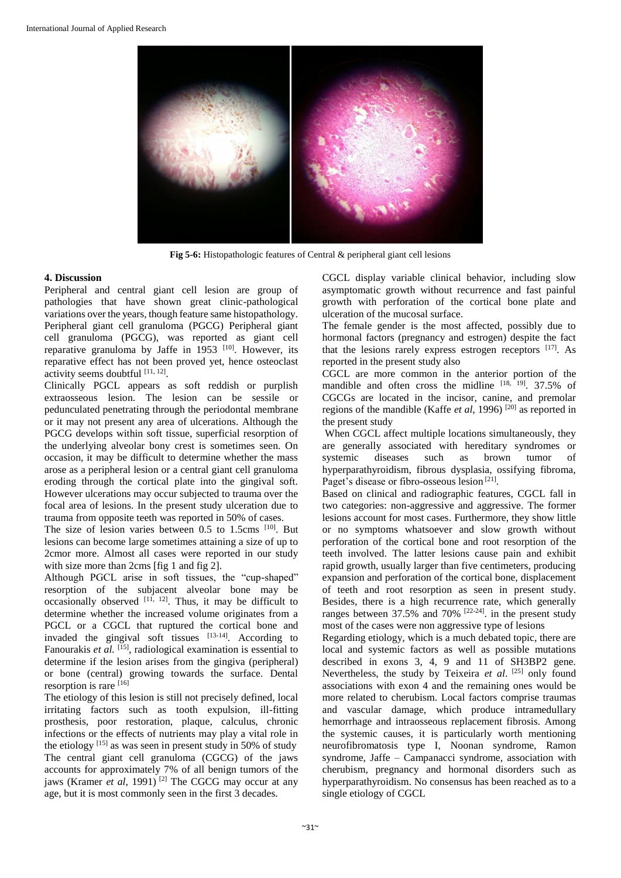

**Fig 5-6:** Histopathologic features of Central & peripheral giant cell lesions

#### **4. Discussion**

Peripheral and central giant cell lesion are group of pathologies that have shown great clinic-pathological variations over the years, though feature same histopathology. Peripheral giant cell granuloma (PGCG) Peripheral giant cell granuloma (PGCG), was reported as giant cell reparative granuloma by Jaffe in 1953  $[10]$ . However, its reparative effect has not been proved yet, hence osteoclast activity seems doubtful [11, 12].

Clinically PGCL appears as soft reddish or purplish extraosseous lesion. The lesion can be sessile or pedunculated penetrating through the periodontal membrane or it may not present any area of ulcerations. Although the PGCG develops within soft tissue, superficial resorption of the underlying alveolar bony crest is sometimes seen. On occasion, it may be difficult to determine whether the mass arose as a peripheral lesion or a central giant cell granuloma eroding through the cortical plate into the gingival soft. However ulcerations may occur subjected to trauma over the focal area of lesions. In the present study ulceration due to trauma from opposite teeth was reported in 50% of cases.

The size of lesion varies between 0.5 to 1.5cms [10]. But lesions can become large sometimes attaining a size of up to 2cmor more. Almost all cases were reported in our study with size more than 2cms [fig 1 and fig 2].

Although PGCL arise in soft tissues, the "cup-shaped" resorption of the subjacent alveolar bone may be occasionally observed  $[11, 12]$ . Thus, it may be difficult to determine whether the increased volume originates from a PGCL or a CGCL that ruptured the cortical bone and invaded the gingival soft tissues  $[13-14]$ . According to Fanourakis *et al.* <sup>[15]</sup>, radiological examination is essential to determine if the lesion arises from the gingiva (peripheral) or bone (central) growing towards the surface. Dental resorption is rare [16]

The etiology of this lesion is still not precisely defined, local irritating factors such as tooth expulsion, ill-fitting prosthesis, poor restoration, plaque, calculus, chronic infections or the effects of nutrients may play a vital role in the etiology  $[15]$  as was seen in present study in 50% of study The central giant cell granuloma (CGCG) of the jaws accounts for approximately 7% of all benign tumors of the jaws (Kramer *et al*, 1991) [2] The CGCG may occur at any age, but it is most commonly seen in the first 3 decades.

CGCL display variable clinical behavior, including slow asymptomatic growth without recurrence and fast painful growth with perforation of the cortical bone plate and ulceration of the mucosal surface.

The female gender is the most affected, possibly due to hormonal factors (pregnancy and estrogen) despite the fact that the lesions rarely express estrogen receptors  $[17]$ . As reported in the present study also

CGCL are more common in the anterior portion of the mandible and often cross the midline  $[18, 19]$ . 37.5% of CGCGs are located in the incisor, canine, and premolar regions of the mandible (Kaffe *et al.* 1996)<sup>[20]</sup> as reported in the present study

When CGCL affect multiple locations simultaneously, they are generally associated with hereditary syndromes or systemic diseases such as brown tumor of systemic diseases such as brown tumor of hyperparathyroidism, fibrous dysplasia, ossifying fibroma, Paget's disease or fibro-osseous lesion<sup>[21]</sup>.

Based on clinical and radiographic features, CGCL fall in two categories: non-aggressive and aggressive. The former lesions account for most cases. Furthermore, they show little or no symptoms whatsoever and slow growth without perforation of the cortical bone and root resorption of the teeth involved. The latter lesions cause pain and exhibit rapid growth, usually larger than five centimeters, producing expansion and perforation of the cortical bone, displacement of teeth and root resorption as seen in present study. Besides, there is a high recurrence rate, which generally ranges between  $37.5\%$  and  $70\%$   $[22-24]$ . in the present study most of the cases were non aggressive type of lesions

Regarding etiology, which is a much debated topic, there are local and systemic factors as well as possible mutations described in exons 3, 4, 9 and 11 of SH3BP2 gene. Nevertheless, the study by Teixeira *et al*. [25] only found associations with exon 4 and the remaining ones would be more related to cherubism. Local factors comprise traumas and vascular damage, which produce intramedullary hemorrhage and intraosseous replacement fibrosis. Among the systemic causes, it is particularly worth mentioning neurofibromatosis type I, Noonan syndrome, Ramon syndrome, Jaffe – Campanacci syndrome, association with cherubism, pregnancy and hormonal disorders such as hyperparathyroidism. No consensus has been reached as to a single etiology of CGCL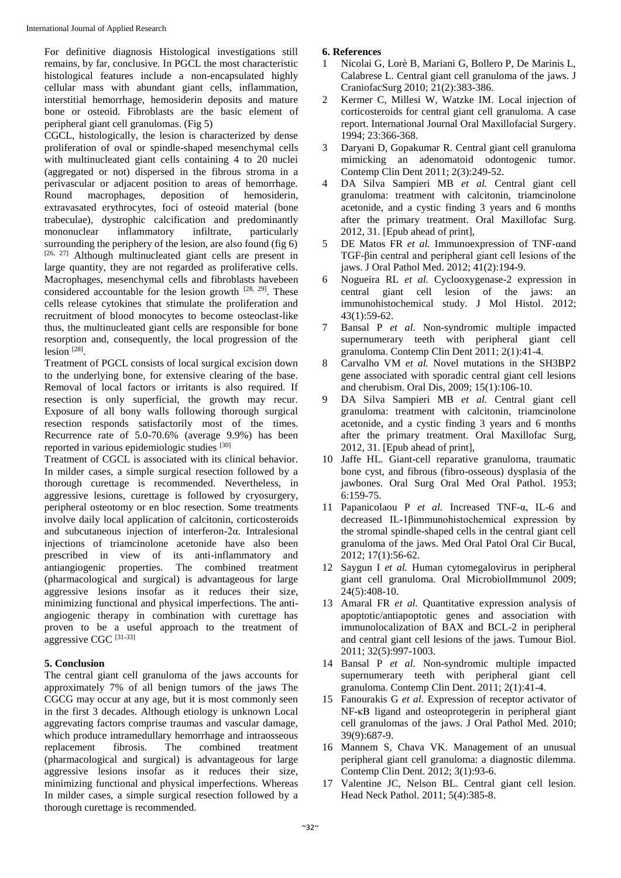For definitive diagnosis Histological investigations still remains, by far, conclusive. In PGCL the most characteristic histological features include a non-encapsulated highly cellular mass with abundant giant cells, inflammation, interstitial hemorrhage, hemosiderin deposits and mature bone or osteoid. Fibroblasts are the basic element of peripheral giant cell granulomas. (Fig 5)

CGCL, histologically, the lesion is characterized by dense proliferation of oval or spindle-shaped mesenchymal cells with multinucleated giant cells containing 4 to 20 nuclei (aggregated or not) dispersed in the fibrous stroma in a perivascular or adjacent position to areas of hemorrhage. Round macrophages, deposition of hemosiderin, extravasated erythrocytes, foci of osteoid material (bone trabeculae), dystrophic calcification and predominantly mononuclear inflammatory infiltrate, particularly surrounding the periphery of the lesion, are also found (fig 6) [26, 27] Although multinucleated giant cells are present in large quantity, they are not regarded as proliferative cells. Macrophages, mesenchymal cells and fibroblasts havebeen considered accountable for the lesion growth  $[28, 29]$ . These cells release cytokines that stimulate the proliferation and recruitment of blood monocytes to become osteoclast-like thus, the multinucleated giant cells are responsible for bone resorption and, consequently, the local progression of the lesion<sup>[28]</sup>.

Treatment of PGCL consists of local surgical excision down to the underlying bone, for extensive clearing of the base. Removal of local factors or irritants is also required. If resection is only superficial, the growth may recur. Exposure of all bony walls following thorough surgical resection responds satisfactorily most of the times. Recurrence rate of 5.0-70.6% (average 9.9%) has been reported in various epidemiologic studies [30]

Treatment of CGCL is associated with its clinical behavior. In milder cases, a simple surgical resection followed by a thorough curettage is recommended. Nevertheless, in aggressive lesions, curettage is followed by cryosurgery, peripheral osteotomy or en bloc resection. Some treatments involve daily local application of calcitonin, corticosteroids and subcutaneous injection of interferon-2α. Intralesional injections of triamcinolone acetonide have also been prescribed in view of its anti-inflammatory and antiangiogenic properties. The combined treatment (pharmacological and surgical) is advantageous for large aggressive lesions insofar as it reduces their size, minimizing functional and physical imperfections. The antiangiogenic therapy in combination with curettage has proven to be a useful approach to the treatment of aggressive CGC [31-33]

#### **5. Conclusion**

The central giant cell granuloma of the jaws accounts for approximately 7% of all benign tumors of the jaws The CGCG may occur at any age, but it is most commonly seen in the first 3 decades. Although etiology is unknown Local aggrevating factors comprise traumas and vascular damage, which produce intramedullary hemorrhage and intraosseous replacement fibrosis. The combined treatment (pharmacological and surgical) is advantageous for large aggressive lesions insofar as it reduces their size, minimizing functional and physical imperfections. Whereas In milder cases, a simple surgical resection followed by a thorough curettage is recommended.

#### **6. References**

- 1 Nicolai G, Lorè B, Mariani G, Bollero P, De Marinis L, Calabrese L. Central giant cell granuloma of the jaws. J CraniofacSurg 2010; 21(2):383-386.
- 2 Kermer C, Millesi W, Watzke IM. Local injection of corticosteroids for central giant cell granuloma. A case report. International Journal Oral Maxillofacial Surgery. 1994; 23:366-368.
- 3 Daryani D, Gopakumar R. Central giant cell granuloma mimicking an adenomatoid odontogenic tumor. Contemp Clin Dent 2011; 2(3):249-52.
- 4 DA Silva Sampieri MB *et al.* Central giant cell granuloma: treatment with calcitonin, triamcinolone acetonide, and a cystic finding 3 years and 6 months after the primary treatment. Oral Maxillofac Surg. 2012, 31. [Epub ahead of print],
- 5 DE Matos FR *et al.* Immunoexpression of TNF-αand TGF-βin central and peripheral giant cell lesions of the jaws. J Oral Pathol Med. 2012; 41(2):194-9.
- 6 Nogueira RL *et al.* Cyclooxygenase-2 expression in central giant cell lesion of the jaws: an immunohistochemical study. J Mol Histol. 2012; 43(1):59-62.
- 7 Bansal P *et al.* Non-syndromic multiple impacted supernumerary teeth with peripheral giant cell granuloma. Contemp Clin Dent 2011; 2(1):41-4.
- 8 Carvalho VM *et al.* Novel mutations in the SH3BP2 gene associated with sporadic central giant cell lesions and cherubism. Oral Dis, 2009; 15(1):106-10.
- 9 DA Silva Sampieri MB *et al.* Central giant cell granuloma: treatment with calcitonin, triamcinolone acetonide, and a cystic finding 3 years and 6 months after the primary treatment. Oral Maxillofac Surg, 2012, 31. [Epub ahead of print],
- 10 Jaffe HL. Giant-cell reparative granuloma, traumatic bone cyst, and fibrous (fibro-osseous) dysplasia of the jawbones. Oral Surg Oral Med Oral Pathol. 1953; 6:159-75.
- 11 Papanicolaou P *et al.* Increased TNF-α, IL-6 and decreased IL-1βimmunohistochemical expression by the stromal spindle-shaped cells in the central giant cell granuloma of the jaws. Med Oral Patol Oral Cir Bucal, 2012; 17(1):56-62.
- 12 Saygun I *et al.* Human cytomegalovirus in peripheral giant cell granuloma. Oral MicrobiolImmunol 2009; 24(5):408-10.
- 13 Amaral FR *et al.* Quantitative expression analysis of apoptotic/antiapoptotic genes and association with immunolocalization of BAX and BCL-2 in peripheral and central giant cell lesions of the jaws. Tumour Biol. 2011; 32(5):997-1003.
- 14 Bansal P *et al.* Non-syndromic multiple impacted supernumerary teeth with peripheral giant cell granuloma. Contemp Clin Dent. 2011; 2(1):41-4.
- 15 Fanourakis G *et al.* Expression of receptor activator of NF-κB ligand and osteoprotegerin in peripheral giant cell granulomas of the jaws. J Oral Pathol Med. 2010; 39(9):687-9.
- 16 Mannem S, Chava VK. Management of an unusual peripheral giant cell granuloma: a diagnostic dilemma. Contemp Clin Dent. 2012; 3(1):93-6.
- 17 Valentine JC, Nelson BL. Central giant cell lesion. Head Neck Pathol. 2011; 5(4):385-8.